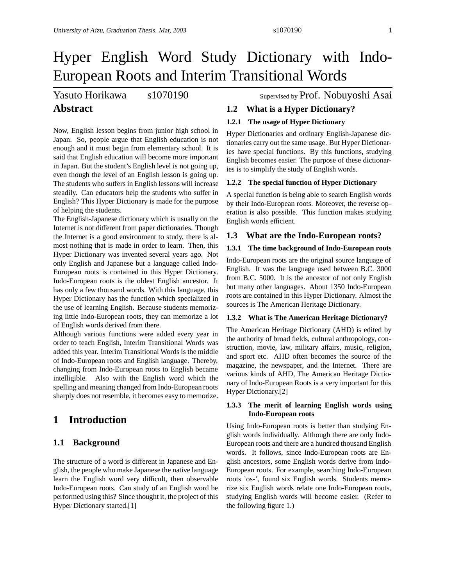# Yasuto Horikawa s1070190 Supervised by Prof. Nobuyoshi Asai

# **Abstract**

Now, English lesson begins from junior high school in Japan. So, people argue that English education is not enough and it must begin from elementary school. It is said that English education will become more important in Japan. But the student's English level is not going up, even though the level of an English lesson is going up. The students who suffers in English lessons will increase steadily. Can educators help the students who suffer in English? This Hyper Dictionary is made for the purpose of helping the students.

The English-Japanese dictionary which is usually on the Internet is not different from paper dictionaries. Though the Internet is a good environment to study, there is almost nothing that is made in order to learn. Then, this Hyper Dictionary was invented several years ago. Not only English and Japanese but a language called Indo-European roots is contained in this Hyper Dictionary. Indo-European roots is the oldest English ancestor. It has only a few thousand words. With this language, this Hyper Dictionary has the function which specialized in the use of learning English. Because students memorizing little Indo-European roots, they can memorize a lot of English words derived from there.

Although various functions were added every year in order to teach English, Interim Transitional Words was added this year. Interim Transitional Words is the middle of Indo-European roots and English language. Thereby, changing from Indo-European roots to English became intelligible. Also with the English word which the spelling and meaning changed from Indo-European roots sharply does not resemble, it becomes easy to memorize.

# **1 Introduction**

### **1.1 Background**

The structure of a word is different in Japanese and English, the people who make Japanese the native language learn the English word very difficult, then observable Indo-European roots. Can study of an English word be performed using this? Since thought it, the project of this Hyper Dictionary started.[1]

# **1.2 What is a Hyper Dictionary?**

#### **1.2.1 The usage of Hyper Dictionary**

Hyper Dictionaries and ordinary English-Japanese dictionaries carry out the same usage. But Hyper Dictionaries have special functions. By this functions, studying English becomes easier. The purpose of these dictionaries is to simplify the study of English words.

#### **1.2.2 The special function of Hyper Dictionary**

A special function is being able to search English words by their Indo-European roots. Moreover, the reverse operation is also possible. This function makes studying English words efficient.

### **1.3 What are the Indo-European roots?**

#### **1.3.1 The time background of Indo-European roots**

Indo-European roots are the original source language of English. It was the language used between B.C. 3000 from B.C. 5000. It is the ancestor of not only English but many other languages. About 1350 Indo-European roots are contained in this Hyper Dictionary. Almost the sources is The American Heritage Dictionary.

#### **1.3.2 What is The American Heritage Dictionary?**

The American Heritage Dictionary (AHD) is edited by the authority of broad fields, cultural anthropology, construction, movie, law, military affairs, music, religion, and sport etc. AHD often becomes the source of the magazine, the newspaper, and the Internet. There are various kinds of AHD, The American Heritage Dictionary of Indo-European Roots is a very important for this Hyper Dictionary.[2]

#### **1.3.3 The merit of learning English words using Indo-European roots**

Using Indo-European roots is better than studying English words individually. Although there are only Indo-European roots and there are a hundred thousand English words. It follows, since Indo-European roots are English ancestors, some English words derive from Indo-European roots. For example, searching Indo-European roots 'os-', found six English words. Students memorize six English words relate one Indo-European roots, studying English words will become easier. (Refer to the following figure 1.)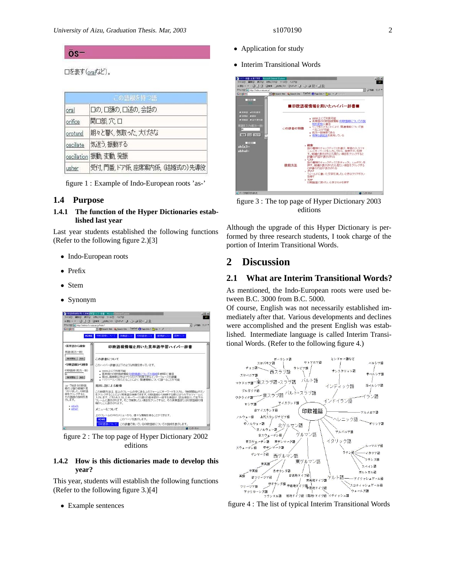#### $OS$ <sup>-</sup>

口を表す(oraすぶど)。

|           | この語根を持つ語                   |
|-----------|----------------------------|
| oral      | 口の,口頭の,口述の,会話の             |
| orifice   | 開口部穴口                      |
| orotund   | 朗々と響く、気取った、大げさな            |
| oscillate | 気迷う 振動する                   |
|           | oscillation 振動, 変動, 発振     |
| usher     | 受付,門番,トア係,座席案内係, (結婚式の)先導役 |

figure 1 : Example of Indo-European roots 'as-'

#### **1.4 Purpose**

#### **1.4.1 The function of the Hyper Dictionaries established last year**

Last year students established the following functions (Refer to the following figure 2.)[3]

- Indo-European roots
- Prefix
- Stem
- Synonym



figure 2 : The top page of Hyper Dictionary 2002 editions

#### **1.4.2 How is this dictionaries made to develop this year?**

This year, students will establish the following functions (Refer to the following figure 3.)[4]

• Example sentences

- Application for study
- Interim Transitional Words



figure 3 : The top page of Hyper Dictionary 2003 editions

Although the upgrade of this Hyper Dictionary is performed by three research students, I took charge of the portion of Interim Transitional Words.

# **2 Discussion**

#### **2.1 What are Interim Transitional Words?**

As mentioned, the Indo-European roots were used between B.C. 3000 from B.C. 5000.

Of course, English was not necessarily established immediately after that. Various developments and declines were accomplished and the present English was established. Intermediate language is called Interim Transitional Words. (Refer to the following figure 4.)



figure 4 : The list of typical Interim Transitional Words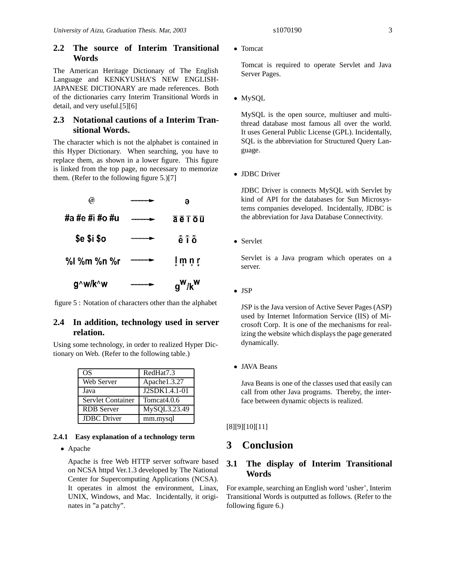#### **2.2 The source of Interim Transitional Words**

The American Heritage Dictionary of The English Language and KENKYUSHA'S NEW ENGLISH-JAPANESE DICTIONARY are made references. Both of the dictionaries carry Interim Transitional Words in detail, and very useful.[5][6]

# **2.3 Notational cautions of a Interim Transitional Words.**

The character which is not the alphabet is contained in this Hyper Dictionary. When searching, you have to replace them, as shown in a lower figure. This figure is linked from the top page, no necessary to memorize them. (Refer to the following figure 5.)[7]



figure 5 : Notation of characters other than the alphabet

# **2.4 In addition, technology used in server relation.**

Using some technology, in order to realized Hyper Dictionary on Web. (Refer to the following table.)

| OS                 | RedHat7.3               |
|--------------------|-------------------------|
| Web Server         | Apache1.3.27            |
| Java               | J2SDK1.4.1-01           |
| Servlet Container  | Tomcat <sub>4.0.6</sub> |
| <b>RDB</b> Server  | MySQL3.23.49            |
| <b>JDBC</b> Driver | mm.mysql                |

#### **2.4.1 Easy explanation of a technology term**

• Apache

Apache is free Web HTTP server software based on NCSA httpd Ver.1.3 developed by The National Center for Supercomputing Applications (NCSA). It operates in almost the environment, Linax, UNIX, Windows, and Mac. Incidentally, it originates in "a patchy".

• Tomcat

Tomcat is required to operate Servlet and Java Server Pages.

• MySQL

MySQL is the open source, multiuser and multithread database most famous all over the world. It uses General Public License (GPL). Incidentally, SQL is the abbreviation for Structured Query Language.

• JDBC Driver

JDBC Driver is connects MySQL with Servlet by kind of API for the databases for Sun Microsystems companies developed. Incidentally, JDBC is the abbreviation for Java Database Connectivity.

• Servlet

Servlet is a Java program which operates on a server.

• JSP

JSP is the Java version of Active Sever Pages (ASP) used by Internet Information Service (IIS) of Microsoft Corp. It is one of the mechanisms for realizing the website which displays the page generated dynamically.

• JAVA Beans

Java Beans is one of the classes used that easily can call from other Java programs. Thereby, the interface between dynamic objects is realized.

[8][9][10][11]

# **3 Conclusion**

### **3.1 The display of Interim Transitional Words**

For example, searching an English word 'usher', Interim Transitional Words is outputted as follows. (Refer to the following figure 6.)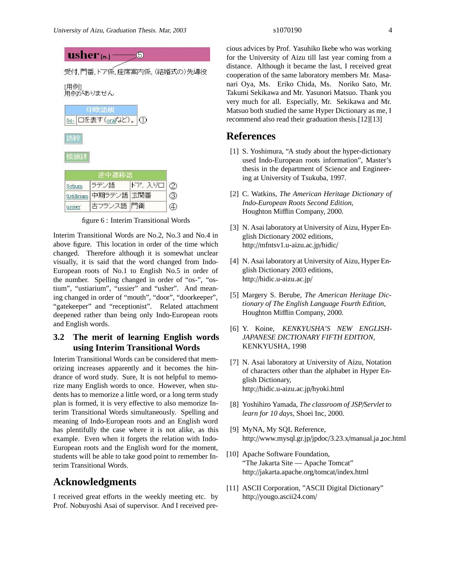| os-口を表す(oralなど)。 ①<br>語幹<br>接頭辞 | ______________ |  |
|---------------------------------|----------------|--|
|                                 |                |  |
|                                 |                |  |
|                                 |                |  |
|                                 |                |  |
|                                 | 途中遷移語          |  |
| ドア、入り口<br>ラテン語<br>ōstium        |                |  |
| 中期ラテン語 玄関番<br>ūstiārium         |                |  |

figure 6 : Interim Transitional Words

Interim Transitional Words are No.2, No.3 and No.4 in above figure. This location in order of the time which changed. Therefore although it is somewhat unclear visually, it is said that the word changed from Indo-European roots of No.1 to English No.5 in order of the number. Spelling changed in order of "os-", "ostium", "ustiarium", "ussier" and "usher". And meaning changed in order of "mouth", "door", "doorkeeper", "gatekeeper" and "receptionist". Related attachment deepened rather than being only Indo-European roots and English words.

# **3.2 The merit of learning English words using Interim Transitional Words**

Interim Transitional Words can be considered that memorizing increases apparently and it becomes the hindrance of word study. Sure, It is not helpful to memorize many English words to once. However, when students has to memorize a little word, or a long term study plan is formed, it is very effective to also memorize Interim Transitional Words simultaneously. Spelling and meaning of Indo-European roots and an English word has plentifully the case where it is not alike, as this example. Even when it forgets the relation with Indo-European roots and the English word for the moment, students will be able to take good point to remember Interim Transitional Words.

# **Acknowledgments**

I received great efforts in the weekly meeting etc. by Prof. Nobuyoshi Asai of supervisor. And I received precious advices by Prof. Yasuhiko Ikebe who was working for the University of Aizu till last year coming from a distance. Although it became the last, I received great cooperation of the same laboratory members Mr. Masanari Oya, Ms. Eriko Chida, Ms. Noriko Sato, Mr. Takumi Sekikawa and Mr. Yasunori Matsuo. Thank you very much for all. Especially, Mr. Sekikawa and Mr. Matsuo both studied the same Hyper Dictionary as me, I recommend also read their graduation thesis.[12][13]

# **References**

- [1] S. Yoshimura, "A study about the hyper-dictionary used Indo-European roots information", Master's thesis in the department of Science and Engineering at University of Tsukuba, 1997.
- [2] C. Watkins, *The American Heritage Dictionary of Indo-European Roots Second Edition*, Houghton Mifflin Company, 2000.
- [3] N. Asai laboratory at University of Aizu, Hyper English Dictionary 2002 editions, http://mfntsv1.u-aizu.ac.jp/hidic/
- [4] N. Asai laboratory at University of Aizu, Hyper English Dictionary 2003 editions, http://hidic.u-aizu.ac.jp/
- [5] Margery S. Berube, *The American Heritage Dictionary of The English Language Fourth Edition*, Houghton Mifflin Company, 2000.
- [6] Y. Koine, *KENKYUSHA'S NEW ENGLISH-JAPANESE DICTIONARY FIFTH EDITION*, KENKYUSHA, 1998
- [7] N. Asai laboratory at University of Aizu, Notation of characters other than the alphabet in Hyper English Dictionary, http://hidic.u-aizu.ac.jp/hyoki.html
- [8] Yoshihiro Yamada, *The classroom of JSP*/*Servlet to learn for 10 days*, Shoei Inc, 2000.
- [9] MyNA, My SQL Reference, http://www.mysql.gr.jp/jpdoc/3.23.x/manual.ja toc.html
- [10] Apache Software Foundation, "The Jakarta Site — Apache Tomcat" http://jakarta.apache.org/tomcat/index.html
- [11] ASCII Corporation, "ASCII Digital Dictionary" http://yougo.ascii24.com/